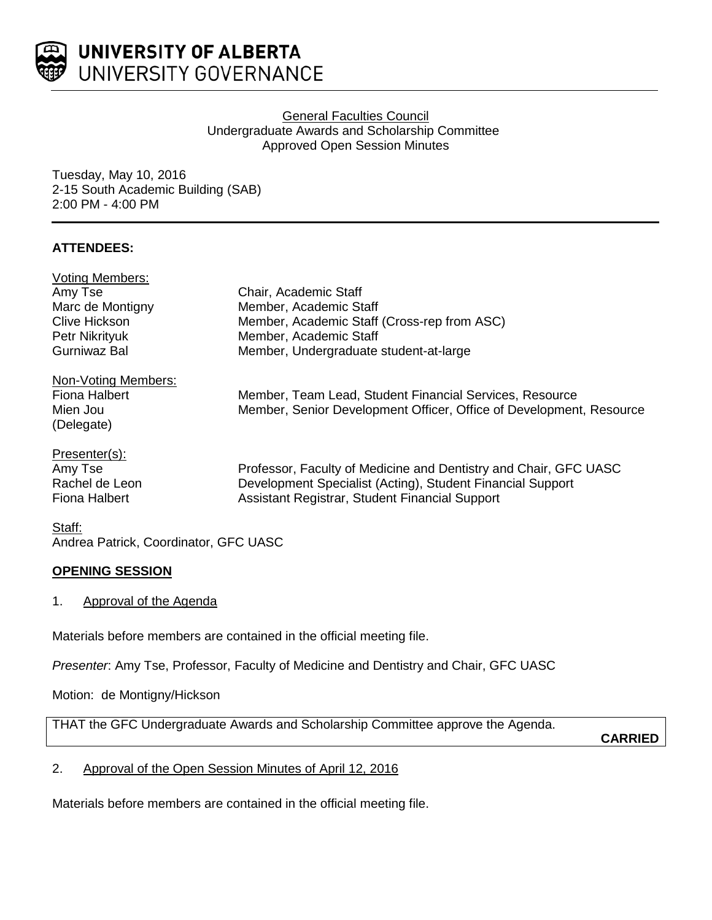

## General Faculties Council Undergraduate Awards and Scholarship Committee Approved Open Session Minutes

Tuesday, May 10, 2016 2-15 South Academic Building (SAB) 2:00 PM - 4:00 PM

# **ATTENDEES:**

| <b>Voting Members:</b> |                                                                     |
|------------------------|---------------------------------------------------------------------|
| Amy Tse                | Chair, Academic Staff                                               |
| Marc de Montigny       | Member, Academic Staff                                              |
| <b>Clive Hickson</b>   | Member, Academic Staff (Cross-rep from ASC)                         |
| Petr Nikrityuk         | Member, Academic Staff                                              |
| <b>Gurniwaz Bal</b>    | Member, Undergraduate student-at-large                              |
| Non-Voting Members:    |                                                                     |
| Fiona Halbert          | Member, Team Lead, Student Financial Services, Resource             |
| Mien Jou               | Member, Senior Development Officer, Office of Development, Resource |
| (Delegate)             |                                                                     |
| Presenter(s):          |                                                                     |
| Amy Tse                | Professor, Faculty of Medicine and Dentistry and Chair, GFC UASC    |
| Rachel de Leon         | Development Specialist (Acting), Student Financial Support          |
| <b>Fiona Halbert</b>   | Assistant Registrar, Student Financial Support                      |
| Staff:                 |                                                                     |

Andrea Patrick, Coordinator, GFC UASC

# **OPENING SESSION**

1. Approval of the Agenda

Materials before members are contained in the official meeting file.

*Presenter*: Amy Tse, Professor, Faculty of Medicine and Dentistry and Chair, GFC UASC

Motion: de Montigny/Hickson

THAT the GFC Undergraduate Awards and Scholarship Committee approve the Agenda.

**CARRIED**

# 2. Approval of the Open Session Minutes of April 12, 2016

Materials before members are contained in the official meeting file.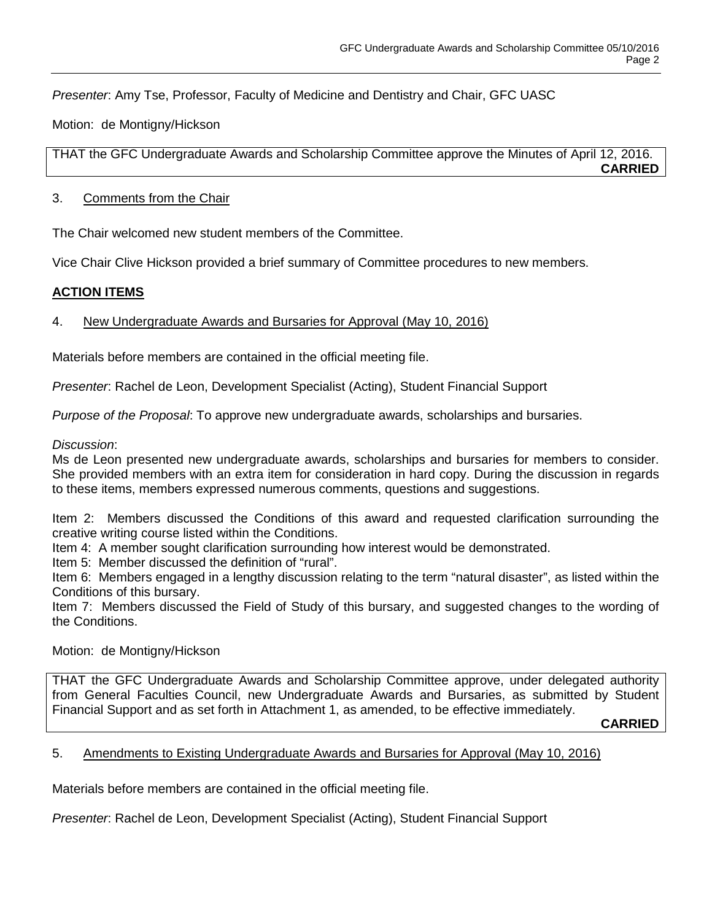*Presenter*: Amy Tse, Professor, Faculty of Medicine and Dentistry and Chair, GFC UASC

Motion: de Montigny/Hickson

THAT the GFC Undergraduate Awards and Scholarship Committee approve the Minutes of April 12, 2016. **CARRIED**

#### 3. Comments from the Chair

The Chair welcomed new student members of the Committee.

Vice Chair Clive Hickson provided a brief summary of Committee procedures to new members.

## **ACTION ITEMS**

## 4. New Undergraduate Awards and Bursaries for Approval (May 10, 2016)

Materials before members are contained in the official meeting file.

*Presenter*: Rachel de Leon, Development Specialist (Acting), Student Financial Support

*Purpose of the Proposal*: To approve new undergraduate awards, scholarships and bursaries.

#### *Discussion*:

Ms de Leon presented new undergraduate awards, scholarships and bursaries for members to consider. She provided members with an extra item for consideration in hard copy. During the discussion in regards to these items, members expressed numerous comments, questions and suggestions.

Item 2: Members discussed the Conditions of this award and requested clarification surrounding the creative writing course listed within the Conditions.

Item 4: A member sought clarification surrounding how interest would be demonstrated.

Item 5: Member discussed the definition of "rural".

Item 6: Members engaged in a lengthy discussion relating to the term "natural disaster", as listed within the Conditions of this bursary.

Item 7: Members discussed the Field of Study of this bursary, and suggested changes to the wording of the Conditions.

## Motion: de Montigny/Hickson

THAT the GFC Undergraduate Awards and Scholarship Committee approve, under delegated authority from General Faculties Council, new Undergraduate Awards and Bursaries, as submitted by Student Financial Support and as set forth in Attachment 1, as amended, to be effective immediately.

**CARRIED**

## 5. Amendments to Existing Undergraduate Awards and Bursaries for Approval (May 10, 2016)

Materials before members are contained in the official meeting file.

*Presenter*: Rachel de Leon, Development Specialist (Acting), Student Financial Support